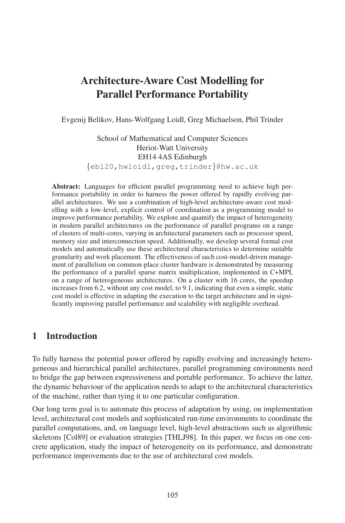# Architecture-Aware Cost Modelling for Parallel Performance Portability

Evgenij Belikov, Hans-Wolfgang Loidl, Greg Michaelson, Phil Trinder

School of Mathematical and Computer Sciences Heriot-Watt University EH14 4AS Edinburgh {eb120,hwloidl,greg,trinder}@hw.ac.uk

Abstract: Languages for efficient parallel programming need to achieve high performance portability in order to harness the power offered by rapidly evolving parallel architectures. We use a combination of high-level architecture-aware cost modelling with a low-level, explicit control of coordination as a programming model to improve performance portability. We explore and quantify the impact of heterogeneity in modern parallel architectures on the performance of parallel programs on a range of clusters of multi-cores, varying in architectural parameters such as processor speed, memory size and interconnection speed. Additionally, we develop several formal cost models and automatically use these architectural characteristics to determine suitable<br>models and automatically use these architectural characteristics to determine suitable granularity and work placement. The effectiveness of such cost-model-driven management of parallelism on common-place cluster hardware is demonstrated by measuring the performance of a parallel sparse matrix multiplication, implemented in C+MPI, on a range of heterogeneous architectures. On a cluster with 16 cores, the speedup increases from 6.2, without any cost model, to 9.1, indicating that even a simple, static mercases from 0.2, whilout any cost model, to 9.1, marching that even a simple, state<br>cost model is effective in adapting the execution to the target architecture and in significantly improving parallel performance and scalability with negligible overhead.

### 1 Introduction

To fully harness the potential power offered by rapidly evolving and increasingly heterogeneous and hierarchical parallel architectures, parallel programming environments need to bridge the gap between expressiveness and portable performance. To achieve the latter, the dynamic behaviour of the application needs to adapt to the architectural characteristics of the machine, rather than tying it to one particular configuration.

Our long term goal is to automate this process of adaptation by using, on implementation level, architectural cost models and sophisticated run-time environments to coordinate the parallel computations, and, on language level, high-level abstractions such as algorithmic skeletons [Col89] or evaluation strategies [THLJ98]. In this paper, we focus on one concrete application, study the impact of heterogeneity on its performance, and demonstrate performance improvements due to the use of architectural cost models.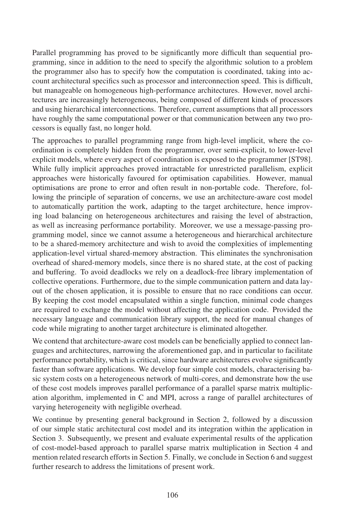Parallel programming has proved to be significantly more difficult than sequential programming, since in addition to the need to specify the algorithmic solution to a problem the programmer also has to specify how the computation is coordinated, taking into account architectural specifics such as processor and interconnection speed. This is difficult, but manageable on homogeneous high-performance architectures. However, novel architectures are increasingly heterogeneous, being composed of different kinds of processors and using hierarchical interconnections. Therefore, current assumptions that all processors have roughly the same computational power or that communication between any two processors is equally fast, no longer hold.

The approaches to parallel programming range from high-level implicit, where the coordination is completely hidden from the programmer, over semi-explicit, to lower-level explicit models, where every aspect of coordination is exposed to the programmer [ST98]. while fully implicit approaches proved intractable for unrestricted parallelism, explicit approaches were historically favoured for optimisation capabilities. However, manual optimisations are prone to error and often result in non-portable code. Therefore, following the principle of separation of concerns, we use an architecture-aware cost model to automatically partition the work, adapting to the target architecture, hence improving load balancing on heterogeneous architectures and raising the level of abstraction, as well as increasing performance portability. Moreover, we use a message-passing programming model, since we cannot assume a heterogeneous and hierarchical architecture to be a shared-memory architecture and wish to avoid the complexities of implementing application-level virtual shared-memory abstraction. This eliminates the synchronisation application-level virtual shared-memory abstraction. This eliminates the synchronisation overhead of shared-memory models, since there is no shared state, at the cost of packing and buffering. To avoid deadlocks we rely on a deadlock-free library implementation of collective operations. Furthermore, due to the simple communication pattern and data layout of the chosen application, it is possible to ensure that no race conditions can occur. By keeping the cost model encapsulated within a single function, minimal code changes are required to exchange the model without affecting the application code. Provided the necessary language and communication library support, the need for manual changes of code while migrating to another target architecture is eliminated altogether.

We contend that architecture-aware cost models can be beneficially applied to connect languages and architectures, narrowing the aforementioned gap, and in particular to facilitate performance portability, which is critical, since hardware architectures evolve significantly faster than software applications. We develop four simple cost models, characterising basic system costs on a heterogeneous network of multi-cores, and demonstrate how the use of these cost models improves parallel performance of a parallel sparse matrix multiplication algorithm, implemented in C and MPI, across a range of parallel architectures of varying heterogeneity with negligible overhead.

We continue by presenting general background in Section 2, followed by a discussion of our simple static architectural cost model and its integration within the application in Section 3. Subsequently, we present and evaluate experimental results of the application Section 3. of cost-model-based approach to parallel sparse matrix multiplication in Section 4 and mention related research efforts in Section 5. Finally, we conclude in Section 6 and suggest further research to address the limitations of present work.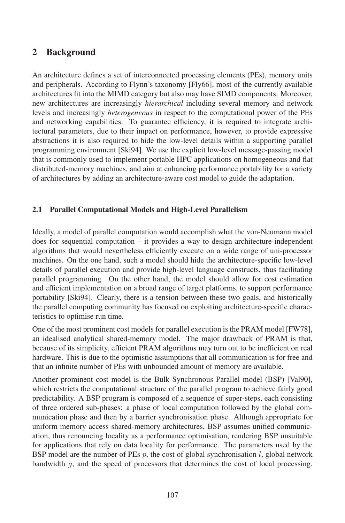## 2 Background

An architecture defines a set of interconnected processing elements (PEs), memory units and peripherals. According to Flynn's taxonomy [Fly66], most of the currently available and perpendicular recovering to Frym 5 uncertainty projects, most of the category available architectures fit into the MIMD category but also may have SIMD components. Moreover, new architectures are increasingly *hierarchical* including several memory and network levels and increasingly *heterogeneous* in respect to the computational power of the PEs and networking capabilities. To guarantee efficiency, it is required to integrate architectural parameters, due to their impact on performance, however, to provide expressive abstractions it is also required to hide the low-level details within a supporting parallel programming environment [Ski94]. We use the explicit low-level message-passing model that is commonly used to implement portable HPC applications on homogeneous and flat distributed-memory machines, and aim at enhancing performance portability for a variety of architectures by adding an architecture-aware cost model to guide the adaptation.

### 2.1 Parallel Computational Models and High-Level Parallelism

Ideally, a model of parallel computation would accomplish what the von-Neumann model does for sequential computation – it provides a way to design architecture-independent algorithms that would nevertheless efficiently execute on a wide range of uni-processor machines. On the one hand, such a model should hide the architecture-specific low-level details of parallel execution and provide high-level language constructs, thus facilitating parallel programming. On the other hand, the model should allow for cost estimation and efficient implementation on a broad range of target platforms, to support performance portability [Ski94]. Clearly, there is a tension between these two goals, and historically the parallel computing community has focused on exploiting architecture-specific characteristics to optimise run time.

One of the most prominent cost models for parallel execution is the PRAM model [FW78], an idealised analytical shared-memory model. The major drawback of PRAM is that, because of its simplicity, efficient PRAM algorithms may turn out to be inefficient on real hardware. This is due to the optimistic assumptions that all communication is for free and that an infinite number of PEs with unbounded amount of memory are available.

Another prominent cost model is the Bulk Synchronous Parallel model (BSP) [Val90], which restricts the computational structure of the parallel program to achieve fairly good predictability. A BSP program is composed of a sequence of super-steps, each consisting of three ordered sub-phases: a phase of local computation followed by the global communication phase and then by a barrier synchronisation phase. Although appropriate for munication phase and then by a barrier synchronisation phase. Although appropriate for numeration phase and alter by a barrier syntem binsation phase. Thinough appropriate for<br>uniform memory access shared-memory architectures. BSP assumes unified communication, thus renouncing locality as a performance optimisation, rendering BSP unsuitable for applications that rely on data locality for performance. The parameters used by the BSP model are the number of PEs  $p$ , the cost of global synchronisation  $l$ , global network  $\frac{1}{2}$  bandwidth g, and the speed of processors that determines the cost of local processing.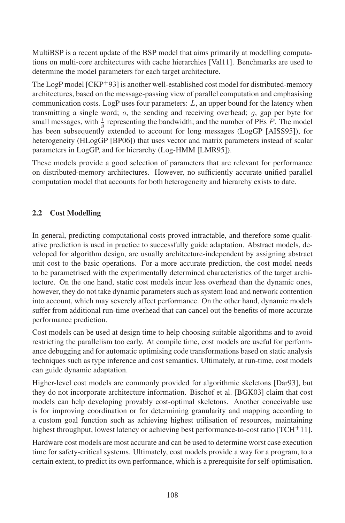MultiBSP is a recent update of the BSP model that aims primarily at modelling computations on multi-core architectures with cache hierarchies [Val11]. Benchmarks are used to determine the model parameters for each target architecture.

The LogP model [CKP+93] is another well-established cost model for distributed-memory architectures, based on the message-passing view of parallel computation and emphasising communication costs. LogP uses four parameters: L, an upper bound for the latency when transmitting a single word; *o*, the sending and receiving overhead; *g*, gap per byte for small messages, with  $\frac{1}{g}$ representing the bandwidth; and the number of PEs P. The model has been subsequently extended to account for long messages ( $LogGP$  [AISS95]), for heterogeneity (HLogGP [BP06]) that uses vector and matrix parameters instead of scalar parameters in LogGP, and for hierarchy (Log-HMM [LMR95]).

These models provide a good selection of parameters that are relevant for performance on distributed-memory architectures. However, no sufficiently accurate unified parallel computation model that accounts for both heterogeneity and hierarchy exists to date.

### 2.2 Cost Modelling

In general, predicting computational costs proved intractable, and therefore some qualitative prediction is used in practice to successfully guide adaptation. Abstract models, developed for algorithm design, are usually architecture-independent by assigning abstract veloped for algorithm design, are assumed marginal membership of assigning abstract to be parametrised with the experimentally determined characteristics of the target architecture. On the one hand, static cost models incur less overhead than the dynamic ones. however, they do not take dynamic parameters such as system load and network contention into account, which may severely affect performance. On the other hand, dynamic models suffer from additional run-time overhead that can cancel out the benefits of more accurate performance prediction.

Cost models can be used at design time to help choosing suitable algorithms and to avoid restricting the parallelism too early. At compile time, cost models are useful for performance debugging and for automatic optimising code transformations based on static analysis techniques such as type inference and cost semantics. Ultimately, at run-time, cost models comingues such as type interest.<br>can guide dynamic adaptation.

Higher-level cost models are commonly provided for algorithmic skeletons [Dar93], but they do not incorporate architecture information. Bischof et al. [BGK03] claim that cost models can help developing provably cost-optimal skeletons. Another conceivable use is for improving coordination or for determining granularity and mapping according to a custom goal function such as achieving highest utilisation of resources, maintaining<br>a custom goal function such as achieving highest utilisation of resources, maintaining highest throughput, lowest latency or achieving best performance-to-cost ratio [TCH+11].

Hardware cost models are most accurate and can be used to determine worst case execution time for safety-critical systems. Ultimately, cost models provide a way for a program, to a certain extent, to predict its own performance, which is a prerequisite for self-optimisation.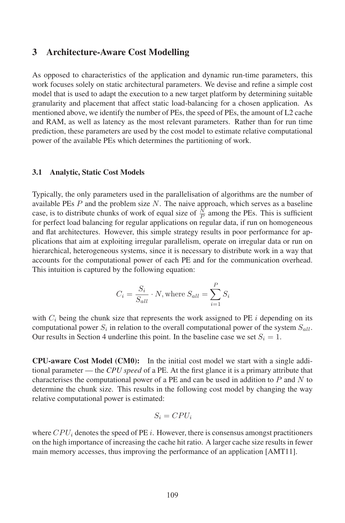### 3 Architecture-Aware Cost Modelling

As opposed to characteristics of the application and dynamic run-time parameters, this work focuses solely on static architectural parameters. We devise and refine a simple cost model that is used to adapt the execution to a new target platform by determining suitable granularity and placement that affect static load-balancing for a chosen application. As mentioned above, we identify the number of PEs, the speed of PEs, the amount of L2 cache and RAM, as well as latency as the most relevant parameters. Rather than for run time prediction, these parameters are used by the cost model to estimate relative computational pourtion, these parameters are asset by the essential to estimate for power of the available PEs which determines the partitioning of work.

#### 3.1 Analytic, Static Cost Models

Typically, the only parameters used in the parallelisation of algorithms are the number of  $a$  available PEs  $P$  and the problem size  $N$ . The naive approach, which serves as a baseline case, is to distribute chunks of work of equal size of  $\frac{N}{P}$ among the PEs. This is sufficient for perfect load balancing for regular applications on regular data, if run on homogeneous and flat architectures. However, this simple strategy results in poor performance for applications that aim at exploiting irregular parallelism, operate on irregular data or run on hierarchical, heterogeneous systems, since it is necessary to distribute work in a way that accounts for the computational power of each PE and for the communication overhead. This intuition is captured by the following equation:

$$
C_i = \frac{S_i}{S_{all}} \cdot N
$$
, where  $S_{all} = \sum_{i=1}^{P} S_i$ 

with  $C_i$  being the chunk size that represents the work assigned to PE i depending on its computational power  $S_i$  in relation to the overall computational power of the system  $S_{all}$ . Our results in Section 4 underline this point. In the baseline case we set  $S_i = 1$ .

CPU-aware Cost Model (CM0): In the initial cost model we start with a single additional parameter — the *CPU speed* of a PE. At the first glance it is a primary attribute that characterises the computational power of a PE and can be used in addition to P and N to determine the chunk size. This results in the following cost model by changing the way relative computational power is estimated:

$$
S_i = CPU_i
$$

where  $CPU_i$  denotes the speed of PE *i*. However, there is consensus amongst practitioners on the high importance of increasing the cache hit ratio. A larger cache size results in fewer of the mgn importance of increasing the eache increase. The ratio of an application [AMT11].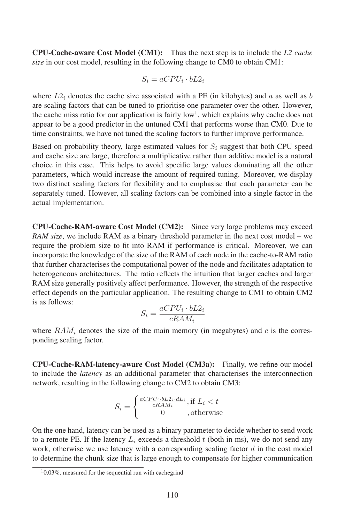CPU-Cache-aware Cost Model (CM1): Thus the next step is to include the *L2 cache size* in our cost model, resulting in the following change to CM0 to obtain CM1:

$$
S_i = aCPU_i \cdot bL2_i
$$

where  $L2_i$  denotes the cache size associated with a PE (in kilobytes) and a as well as b are scaling factors that can be tuned to prioritise one parameter over the other. However, the cache miss ratio for our application is fairly  $low<sup>1</sup>$ , which explains why cache does not appear to be a good predictor in the untuned CM1 that performs worse than CM0. Due to time constraints, we have not tuned the scaling factors to further improve performance.

Based on probability theory, large estimated values for  $S_i$  suggest that both CPU speed and cache size are large, therefore a multiplicative rather than additive model is a natural choice in this case. This helps to avoid specific large values dominating all the other parameters, which would increase the amount of required tuning. Moreover, we display two distinct scaling factors for flexibility and to emphasise that each parameter can be separately tuned. However, all scaling factors can be combined into a single factor in the separately taneal from

CPU-Cache-RAM-aware Cost Model (CM2): Since very large problems may exceed *RAM size*, we include RAM as a binary threshold parameter in the next cost model – we require the problem size to fit into RAM if performance is critical. Moreover, we can incorporate the knowledge of the size of the RAM of each node in the cache-to-RAM ratio that further characterises the computational power of the node and facilitates adaptation to heterogeneous architectures. The ratio reflects the intuition that larger caches and larger RAM size generally positively affect performance. However, the strength of the respective effect depends on the particular application. The resulting change to CM1 to obtain CM2 is as follows:

$$
S_i = \frac{aCPU_i \cdot bL2_i}{cRAM_i}
$$

where  $RAM<sub>i</sub>$  denotes the size of the main memory (in megabytes) and c is the corres- $\mu$  ponding scaling factor.

CPU-Cache-RAM-latency-aware Cost Model (CM3a): Finally, we refine our model to include the *latency* as an additional parameter that characterises the interconnection network, resulting in the following change to CM2 to obtain CM3:

$$
S_i = \begin{cases} \frac{aCPU_i \cdot bL2_i \cdot dL_i}{cRAM_i}, \text{if } L_i < t \\ 0, \text{otherwise} \end{cases}
$$

On the one hand, latency can be used as a binary parameter to decide whether to send work to a remote PE. If the latency  $L_i$  exceeds a threshold  $t$  (both in ms), we do not send any work, otherwise we use latency with a corresponding scaling factor  $d$  in the cost model to determine the chunk size that is large enough to compensate for higher communication

 $\frac{10.03\%}{\phantom{1}}$ , measured for the sequential run with cachegrind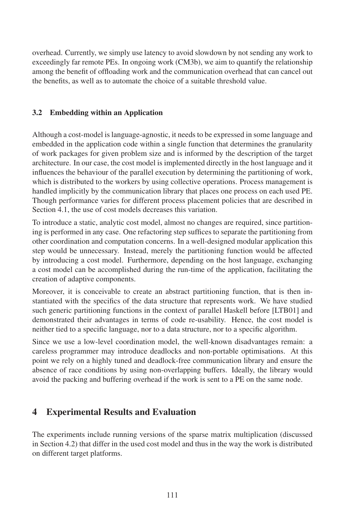overhead. Currently, we simply use latency to avoid slowdown by not sending any work to exercise the state of the simple state of the state state of the state and the state of the relationship exceedingly far remote PEs. In ongoing work (CM3b), we aim to quantify the relationship among the benefit of offloading work and the communication overhead that can cancel out the benefits, as well as to automate the choice of a suitable threshold value.

### 3.2 Embedding within an Application

Although a cost-model is language-agnostic, it needs to be expressed in some language and embedded in the application code within a single function that determines the granularity of work packages for given problem size and is informed by the description of the target architecture. In our case, the cost model is implemented directly in the host language and it influences the behaviour of the parallel execution by determining the partitioning of work, which is distributed to the workers by using collective operations. Process management is handled implicitly by the communication library that places one process on each used PE. Though performance varies for different process placement policies that are described in Section 4.1, the use of cost models decreases this variation.

To introduce a static, analytic cost model, almost no changes are required, since partitioning is performed in any case. One refactoring step suffices to separate the partitioning from other coordination and computation concerns. In a well-designed modular application this step would be unnecessary. Instead, merely the partitioning function would be affected by introducing a cost model. Furthermore, depending on the host language, exchanging a cost model can be accomplished during the run-time of the application, facilitating the application, facilitating the creation of adaptive components.

Moreover, it is conceivable to create an abstract partitioning function, that is then instantiated with the specifics of the data structure that represents work. We have studied summated with the openies of the data structure that represents work. We have statised<br>such generic partitioning functions in the context of parallel Haskell before [LTB01] and demonstrated their advantages in terms of code re-usability. Hence, the cost model is neither tied to a specific language, nor to a data structure, nor to a specific algorithm.

Since we use a low-level coordination model, the well-known disadvantages remain: a careless programmer may introduce deadlocks and non-portable optimisations. At this point we rely on a highly tuned and deadlock-free communication library and ensure the absence of race conditions by using non-overlapping buffers. Ideally, the library would absence of race conditions by using non-overlapping outlets. Teachy, the notary we<br>avoid the packing and buffering overhead if the work is sent to a PE on the same node.

# 4 Experimental Results and Evaluation

The experiments include running versions of the sparse matrix multiplication (discussed in Section 4.2) that differ in the used cost model and thus in the way the work is distributed on different target platforms.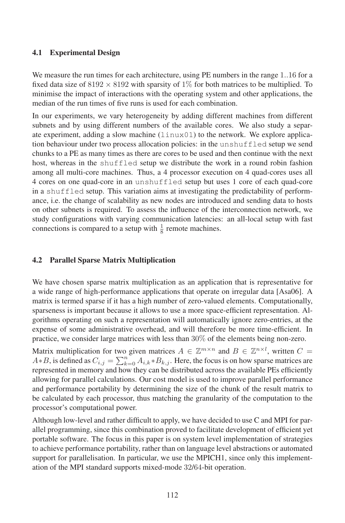#### 4.1 Experimental Design

We measure the run times for each architecture, using PE numbers in the range 1..16 for a fixed data size of  $8192 \times 8192$  with sparsity of  $1\%$  for both matrices to be multiplied. To minimise the impact of interactions with the operating system and other applications, the minimized the implies of interactions with the operating system and median of the run times of five runs is used for each combination.

In our experiments, we vary heterogeneity by adding different machines from different subnets and by using different numbers of the available cores. We also study a separate experiment, adding a slow machine (linux01) to the network. We explore application behaviour under two process allocation policies: in the unshuffled setup we send chunks to a PE as many times as there are cores to be used and then continue with the next host, whereas in the shuffled setup we distribute the work in a round robin fashion among all multi-core machines. Thus, a 4 processor execution on 4 quad-cores uses all 4 cores on one quad-core in an unshuffled setup but uses 1 core of each quad-core in <sup>a</sup> shuffled setup. This variation aims at investigating the predictability of performance, i.e. the change of scalability as new nodes are introduced and sending data to hosts on other subnets is required. To assess the influence of the interconnection network, we study configurations with varying communication latencies: an all-local setup with fast connections is compared to a setup with  $\frac{1}{8}$ remote machines.

#### 4.2 Parallel Sparse Matrix Multiplication

We have chosen sparse matrix multiplication as an application that is representative for a wide range of high-performance applications that operate on irregular data [Asa06]. A matrix is termed sparse if it has a high number of zero-valued elements. Computationally, sparseness is important because it allows to use a more space-efficient representation. Algorithms operating on such a representation will automatically ignore zero-entries, at the expense of some administrative overhead, and will therefore be more time-efficient. In practice, we consider large matrices with less than 30% of the elements being non-zero.

Matrix multiplication for two given matrices  $A \in \mathbb{Z}^{m \times n}$  and  $B \in \mathbb{Z}^{n \times l}$ , written  $C =$ A∗B, is defined as  $C_{i,j} = \sum_{k=0}^{n} A_{i,k} * B_{k,j}$ . Here, the focus is on how sparse matrices are<br>represented in moment and hour that can be distributed agrees the available DEe officiently represented in memory and how they can be distributed across the available PEs efficiently allowing for parallel calculations. Our cost model is used to improve parallel performance and performance portability by determining the size of the chunk of the result matrix to be calculated by each processor, thus matching the granularity of the computation to the processor's computational power.

Although low-level and rather difficult to apply, we have decided to use C and MPI for parallel programming, since this combination proved to facilitate development of efficient vet programming, since ans comomation proved to definate development of emotion year. to achieve performance portability, rather than on language level abstractions or automated support for parallelisation. In particular, we use the MPICH1, since only this implementation of the MPI standard supports mixed-mode <sup>32</sup>/64-bit operation.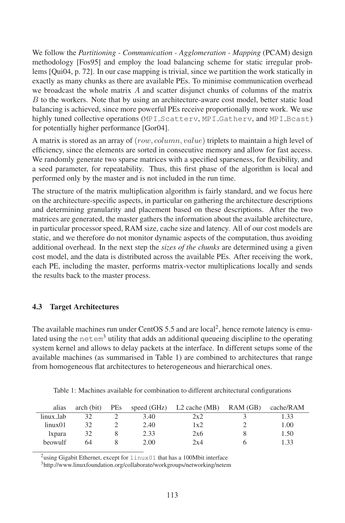We follow the *Partitioning - Communication - Agglomeration - Mapping* (PCAM) design methodology [Fos95] and employ the load balancing scheme for static irregular problems [Qui04, p. 72]. In our case mapping is trivial, since we partition the work statically in exactly as many chunks as there are available PEs. To minimise communication overhead we broadcast the whole matrix A and scatter disjunct chunks of columns of the matrix <sup>B</sup> to the workers. Note that by using an architecture-aware cost model, better static load balancing is achieved, since more powerful PEs receive proportionally more work. We use but all the solutions (MPI Scattery, MPI Gathery, and MPI Bcast) for potentially higher performance [Gor04].

A matrix is stored as an array of  $(row, column, value)$  triplets to maintain a high level of efficiency, since the elements are sorted in consecutive memory and allow for fast access. We randomly generate two sparse matrices with a specified sparseness, for flexibility, and a seed parameter, for repeatability. Thus, this first phase of the algorithm is local and performed only by the master and is not included in the run time.

The structure of the matrix multiplication algorithm is fairly standard, and we focus here on the architecture-specific aspects, in particular on gathering the architecture descriptions and determining granularity and placement based on these descriptions. After the two matrices are generated, the master gathers the information about the available architecture, in particular processor speed, RAM size, cache size and latency. All of our cost models are static, and we therefore do not monitor dynamic aspects of the computation, thus avoiding additional overhead. In the next step the *sizes of the chunks* are determined using a given cost model, and the data is distributed across the available PEs. After receiving the work, each PE, including the master, performs matrix-vector multiplications locally and sends the results back to the master process.

### 4.3 Target Architectures

The available machines run under CentOS 5.5 and are local<sup>2</sup>, hence remote latency is emulated using the netem<sup>3</sup> utility that adds an additional queueing discipline to the operating system kernel and allows to delay packets at the interface. In different setups some of the available machines (as summarised in Table 1) are combined to architectures that range from homogeneous flat architectures to heterogeneous and hierarchical ones.

| alias     | arch (bit) | <b>PEs</b> |      | speed $(GHz)$ L2 cache $(MB)$ | RAM (GB) | cache/RAM |
|-----------|------------|------------|------|-------------------------------|----------|-----------|
| linux_lab | 32         |            | 3.40 | 2x2                           |          | 1.33      |
| linux01   | 32         |            | 2.40 | 1x2                           |          | 1.00      |
| lxpara    | 32         |            | 2.33 | 2x6                           |          | 1.50      |
| beowulf   | 64         |            | 2.00 | 2x4                           |          | 1.33      |

Table 1: Machines available for combination to different architectural configurations

 $\frac{2 \text{using Gigabit Ethernet, except for } 1 \text{ inux01}$  that has a 100Mbit interface

<sup>3</sup>http://www.linuxfoundation.org/collaborate/workgroups/networking/netem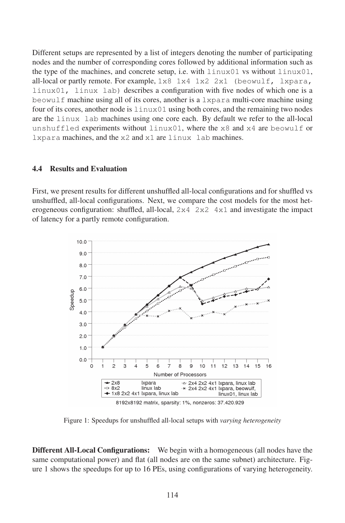Different setups are represented by a list of integers denoting the number of participating nodes and the number of corresponding cores followed by additional information such as the type of the machines, and concrete setup, i.e. with linux01 vs without linux01, all-local or partly remote. For example, 1x8 1x4 1x2 2x1 (beowulf, lxpara, linux01, linux lab) describes a configuration with five nodes of which one is <sup>a</sup> beowulf machine using all of its cores, another is a  $l$ xpara multi-core machine using four of its cores, another node is linux01 using both cores, and the remaining two nodes are the linux lab machines using one core each. By default we refer to the all-local unshuffled experiments without  $\lim_{x\to 0} 1$ , where the  $x8$  and  $x4$  are beowulf or lxpara machines, and the x2 and x1 are linux lab machines.

#### 4.4 Results and Evaluation

First, we present results for different unshuffled all-local configurations and for shuffled vs unshuffled, all-local configurations. Next, we compare the cost models for the most heterogeneous configuration: shuffled, all-local,  $2 \times 4$   $2 \times 2$   $4 \times 1$  and investigate the impact of latency for a partly remote configuration.



Figure 1: Speedups for unshuffled all-local setups with *varying heterogeneity*

Different All-Local Configurations: We begin with a homogeneous (all nodes have the same computational power) and flat (all nodes are on the same subnet) architecture. Figure 1 shows the speedups for up to 16 PEs, using configurations of varying heterogeneity.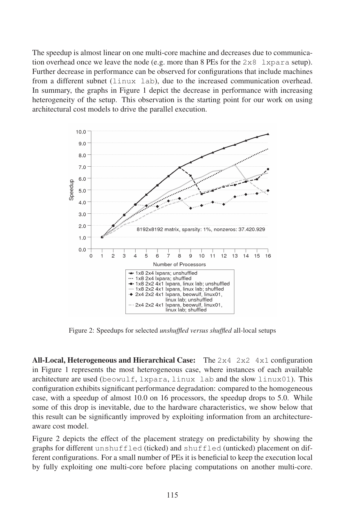The speedup is almost linear on one multi-core machine and decreases due to communicathe speedup is dimested in the node (e.g. more than 8 PEs for the 2x8 lxpara setup). Further decrease in performance can be observed for configurations that include machines from a different subnet (linux lab), due to the increased communication overhead. In summary, the graphs in Figure 1 depict the decrease in performance with increasing heterogeneity of the setup. This observation is the starting point for our work on using architectural cost models to drive the parallel execution.



Figure 2: Speedups for selected *unshuffled versus shuffled* all-local setups

All-Local, Heterogeneous and Hierarchical Case: The  $2 \times 4 \times 2 \times 2 \times 4 \times 1$  configuration in Figure 1 represents the most heterogeneous case. The 2A F 2A2 TAT comiguration<br>in Figure 1 represents the most heterogeneous case, where instances of each available architecture are used (beowulf, lxpara, linux lab and the slow linux01). This configuration exhibits significant performance degradation: compared to the homogeneous case, with a speedup of almost 10.0 on 16 processors, the speedup drops to 5.0. While some of this drop is inevitable, due to the hardware characteristics, we show below that this result can be significantly improved by exploiting information from an architectureaware cost model.

Figure 2 depicts the effect of the placement strategy on predictability by showing the graphs for different unshuffled (ticked) and shuffled (unticked) placement on diffrequent configurations. For a small number of PEs it is beneficial to keep the execution local ferent configurations. For a small number of PEs it is beneficial to keep the execution local by fully exploiting one multi-core before placing computations on another multi-core.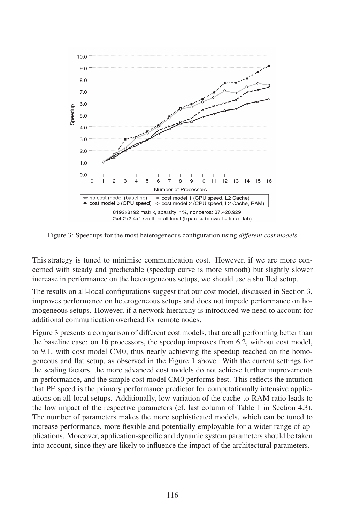

Figure 3: Speedups for the most heterogeneous configuration using *different cost models*

This strategy is tuned to minimise communication cost. However, if we are more concerned with steady and predictable (speedup curve is more smooth) but slightly slower increase in performance on the heterogeneous setups, we should use a shuffled setup.

The results on all-local configurations suggest that our cost model, discussed in Section 3, improves performance on heterogeneous setups and does not impede performance on homigroves performance on neterogeneous setups and does not impede performance on no<br>mogeneous setups. However, if a network hierarchy is introduced we need to account for additional communication overhead for remote nodes.

Figure 3 presents a comparison of different cost models, that are all performing better than the baseline case: on 16 processors, the speedup improves from 6.2, without cost model, to 9.1, with cost model CM0, thus nearly achieving the speedup reached on the homogeneous and flat setup, as observed in the Figure 1 above. With the current settings for the scaling factors, the more advanced cost models do not achieve further improvements in performance, and the simple cost model CM0 performs best. This reflects the intuition that PE speed is the primary performance predictor for computationally intensive applications on all-local setups. Additionally, low variation of the cache-to-RAM ratio leads to the low impact of the respective parameters (cf. last column of Table 1 in Section 4.3). The number of parameters makes the more sophisticated models, which can be tuned to<br>The number of parameters makes the more sophisticated models, which can be tuned to increase performance, more flexible and potentially employable for a wider range of applications. Moreover, application-specific and dynamic system parameters should be taken into account, since they are likely to influence the impact of the architectural parameters.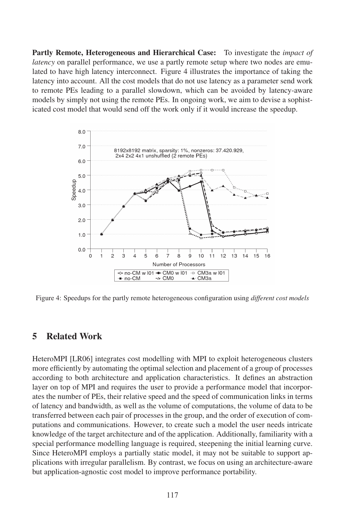Partly Remote, Heterogeneous and Hierarchical Case: To investigate the *impact of latency* on parallel performance, we use a partly remote setup where two nodes are emulated to have high latency interconnect. Figure 4 illustrates the importance of taking the latency into account. All the cost models that do not use latency as a parameter send work to remote PEs leading to a parallel slowdown, which can be avoided by latency-aware models by simply not using the remote PEs. In ongoing work, we aim to devise a sophisticated cost model that would send off the work only if it would increase the speedup.



Figure 4: Speedups for the partly remote heterogeneous configuration using *different cost models*

### 5 Related Work

HeteroMPI [LR06] integrates cost modelling with MPI to exploit heterogeneous clusters more efficiently by automating the optimal selection and placement of a group of processes according to both architecture and application characteristics. It defines an abstraction layer on top of MPI and requires the user to provide a performance model that incorporates the number of PEs, their relative speed and the speed of communication links in terms of latency and bandwidth, as well as the volume of computations, the volume of data to be transferred between each pair of processes in the group, and the order of execution of computations and communications. However, to create such a model the user needs intricate knowledge of the target architecture and of the application. Additionally, familiarity with a special performance modelling language is required, steepening the initial learning curve. Since HeteroMPI employs a partially static model, it may not be suitable to support applications with irregular parallelism. By contrast, we focus on using an architecture-aware but application-agnostic cost model to improve performance portability.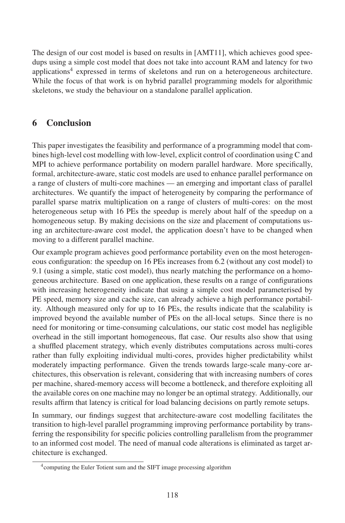The design of our cost model is based on results in [AMT11], which achieves good speedups using a simple cost model that does not take into account RAM and latency for two applications<sup>4</sup> expressed in terms of skeletons and run on a heterogeneous architecture. While the focus of that work is on hybrid parallel programming models for algorithmic skeletons, we study the behaviour on a standalone parallel application.

# 6 Conclusion

This paper investigates the feasibility and performance of a programming model that combines high-level cost modelling with low-level, explicit control of coordination using C and MPI to achieve performance portability on modern parallel hardware. More specifically, formal, architecture-aware, static cost models are used to enhance parallel performance on a range of clusters of multi-core machines — an emerging and important class of parallel architectures. We quantify the impact of heterogeneity by comparing the performance of parallel sparse matrix multiplication on a range of clusters of multi-cores: on the most heterogeneous setup with 16 PEs the speedup is merely about half of the speedup on a homogeneous setup. By making decisions on the size and placement of computations using an architecture-aware cost model, the application doesn't have to be changed when mg an architecture aware cost model,

Our example program achieves good performance portability even on the most heterogeneous configuration: the speedup on 16 PEs increases from 6.2 (without any cost model) to 9.1 (using a simple, static cost model), thus nearly matching the performance on a homogeneous architecture. Based on one application, these results on a range of configurations with increasing heterogeneity indicate that using a simple cost model parameterised by PE speed, memory size and cache size, can already achieve a high performance portability. Although measured only for up to 16 PEs, the results indicate that the scalability is improved beyond the available number of PEs on the all-local setups. Since there is no<br>improved beyond the available number of PEs on the all-local setups. Since there is no need for monitoring or time-consuming calculations, our static cost model has negligible overhead in the still important homogeneous, flat case. Our results also show that using a shuffled placement strategy, which evenly distributes computations across multi-cores rather than fully exploiting individual multi-cores, provides higher predictability whilst moderately impacting performance. Given the trends towards large-scale many-core architectures, this observation is relevant, considering that with increasing numbers of cores per machine, shared-memory access will become a bottleneck, and therefore exploiting all<br>per machine, shared-memory access will become a bottleneck, and therefore exploiting all the available cores on one machine may no longer be an optimal strategy. Additionally, our results affirm that latency is critical for load balancing decisions on partly remote setups.

In summary, our findings suggest that architecture-aware cost modelling facilitates the transition to high-level parallel programming improving performance portability by transferring the responsibility for specific policies controlling parallelism from the programmer to an informed cost model. The need of manual code alterations is eliminated as target architecture is exchanged.

<sup>&</sup>lt;sup>4</sup> computing the Euler Totient sum and the SIFT image processing algorithm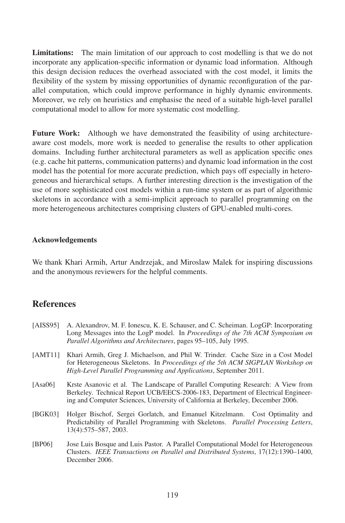Limitations: The main limitation of our approach to cost modelling is that we do not incorporate any application-specific information or dynamic load information. Although this design decision reduces the overhead associated with the cost model, it limits the flexibility of the system by missing opportunities of dynamic reconfiguration of the parallel computation, which could improve performance in highly dynamic environments. Moreover, we rely on heuristics and emphasise the need of a suitable high-level parallel computational model to allow for more systematic cost modelling.

Future Work: Although we have demonstrated the feasibility of using architectureaware cost models, more work is needed to generalise the results to other application domains. Including further architectural parameters as well as application specific ones (e.g. cache hit patterns, communication patterns) and dynamic load information in the cost model has the potential for more accurate prediction, which pays off especially in heterogeneous and hierarchical setups. A further interesting direction is the investigation of the use of more sophisticated cost models within a run-time system or as part of algorithmic skeletons in accordance with a semi-implicit approach to parallel programming on the more heterogeneous architectures comprising clusters of GPU-enabled multi-cores.

#### Acknowledgements

We thank Khari Armih, Artur Andrzejak, and Miroslaw Malek for inspiring discussions and the anonymous reviewers for the helpful comments.

### **References**

- [AISS95] A. Alexandrov, M. F. Ionescu, K. E. Schauser, and C. Scheiman. LogGP: Incorporating Long Messages into the LogP model. In *Proceedings of the 7th ACM Symposium on Parallel Algorithms and Architectures*, pages 95–105, July 1995.
- [AMT11] Khari Armih, Greg J. Michaelson, and Phil W. Trinder. Cache Size in a Cost Model for Heterogeneous Skeletons. In *Proceedings of the 5th ACM SIGPLAN Workshop on High-Level Parallel Programming and Applications*, September 2011.
- $[Asa06]$  Krste Asanovic et al. The Landscape of Parallel Computing Research: A View from Berkeley. Technical Report UCB/EECS-2006-183, Department of Electrical Engineering and Computer Sciences, University of California at Berkeley, December 2006.
- [BGK03] Holger Bischof, Sergei Gorlatch, and Emanuel Kitzelmann. Cost Optimality and Predictability of Parallel Programming with Skeletons. *Parallel Processing Letters*, 13(4):575–587, 2003.
- [BP06] Jose Luis Bosque and Luis Pastor. A Parallel Computational Model for Heterogeneous Clusters. *IEEE Transactions on Parallel and Distributed Systems*, 17(12):1390–1400, Clusters. *IEEE*<br>December 2006.